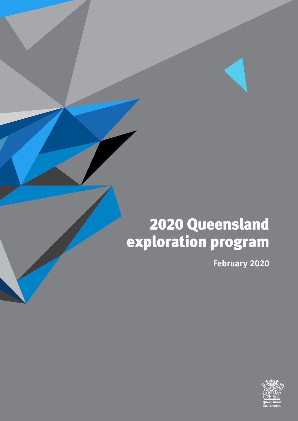# 2020 Queensland exploration program

**February 2020**

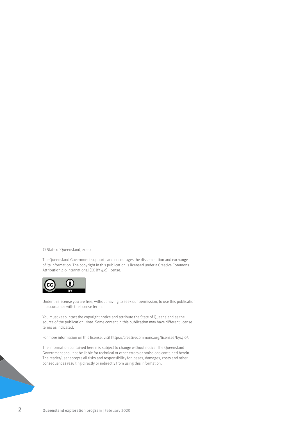© State of Queensland, 2020

The Queensland Government supports and encourages the dissemination and exchange of its information. The copyright in this publication is licensed under a Creative Commons Attribution 4.0 International (CC BY 4.0) license.



Under this license you are free, without having to seek our permission, to use this publication in accordance with the license terms.

You must keep intact the copyright notice and attribute the State of Queensland as the source of the publication. Note: Some content in this publication may have different license terms as indicated.

For more information on this license, visit https://creativecommons.org/licenses/by/4.0/.

The information contained herein is subject to change without notice. The Queensland Government shall not be liable for technical or other errors or omissions contained herein. The reader/user accepts all risks and responsibility for losses, damages, costs and other consequences resulting directly or indirectly from using this information.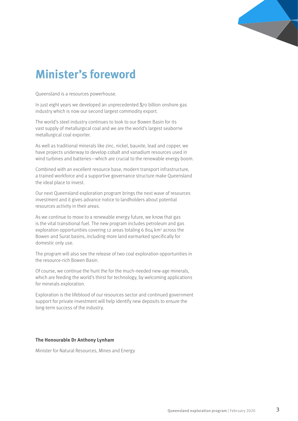

## <span id="page-2-0"></span>**Minister's foreword**

Queensland is a resources powerhouse.

In just eight years we developed an unprecedented \$70 billion onshore gas industry which is now our second largest commodity export.

The world's steel industry continues to look to our Bowen Basin for its vast supply of metallurgical coal and we are the world's largest seaborne metallurgical coal exporter.

As well as traditional minerals like zinc, nickel, bauxite, lead and copper, we have projects underway to develop cobalt and vanadium resources used in wind turbines and batteries—which are crucial to the renewable energy boom.

Combined with an excellent resource base, modern transport infrastructure, a trained workforce and a supportive governance structure make Queensland the ideal place to invest.

Our next Queensland exploration program brings the next wave of resources investment and it gives advance notice to landholders about potential resources activity in their areas.

As we continue to move to a renewable energy future, we know that gas is the vital transitional fuel. The new program includes petroleum and gas exploration opportunities covering 12 areas totaling 6 804 km<sup>2</sup> across the Bowen and Surat basins, including more land earmarked specifically for domestic only use.

The program will also see the release of two coal exploration opportunities in the resource-rich Bowen Basin.

Of course, we continue the hunt the for the much-needed new-age minerals, which are feeding the world's thirst for technology, by welcoming applications for minerals exploration.

Exploration is the lifeblood of our resources sector and continued government support for private investment will help identify new deposits to ensure the long-term success of the industry.

#### **The Honourable Dr Anthony Lynham**

Minister for Natural Resources, Mines and Energy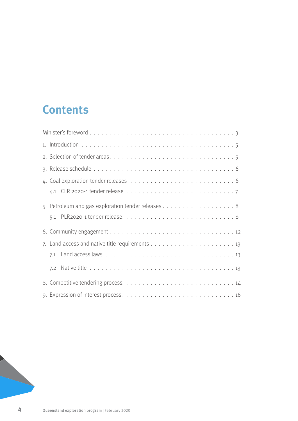## **Contents**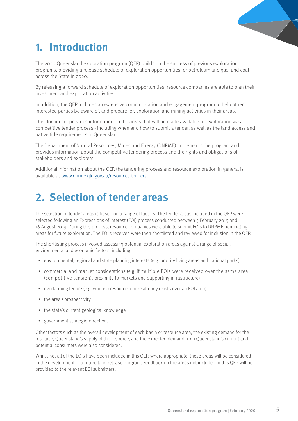

## <span id="page-4-0"></span>**1. Introduction**

The 2020 Queensland exploration program (QEP) builds on the success of previous exploration programs, providing a release schedule of exploration opportunities for petroleum and gas, and coal across the State in 2020.

By releasing a forward schedule of exploration opportunities, resource companies are able to plan their investment and exploration activities.

In addition, the QEP includes an extensive communication and engagement program to help other interested parties be aware of, and prepare for, exploration and mining activities in their areas.

This docum ent provides information on the areas that will be made available for exploration via a competitive tender process - including when and how to submit a tender, as well as the land access and native title requirements in Queensland.

The Department of Natural Resources, Mines and Energy (DNRME) implements the program and provides information about the competitive tendering process and the rights and obligations of stakeholders and explorers.

Additional information about the QEP, the tendering process and resource exploration in general is available at [www.dnrme.qld.gov.au/resources-tenders.](http://www.dnrme.qld.gov.au/resources-tenders)

### **2. Selection of tender areas**

The selection of tender areas is based on a range of factors. The tender areas included in the QEP were selected following an Expressions of Interest (EOI) process conducted between 5 February 2019 and 16 August 2019. During this process, resource companies were able to submit EOIs to DNRME nominating areas for future exploration. The EOI's received were then shortlisted and reviewed for inclusion in the QEP.

The shortlisting process involved assessing potential exploration areas against a range of social, environmental and economic factors, including:

- environmental, regional and state planning interests (e.g. priority living areas and national parks)
- commercial and market considerations (e.g. if multiple EOIs were received over the same area (competitive tension), proximity to markets and supporting infrastructure)
- overlapping tenure (e.g. where a resource tenure already exists over an EOI area)
- the area's prospectivity
- the state's current geological knowledge
- government strategic direction.

Other factors such as the overall development of each basin or resource area, the existing demand for the resource, Queensland's supply of the resource, and the expected demand from Queensland's current and potential consumers were also considered.

Whilst not all of the EOIs have been included in this QEP, where appropriate, these areas will be considered in the development of a future land release program. Feedback on the areas not included in this QEP will be provided to the relevant EOI submitters.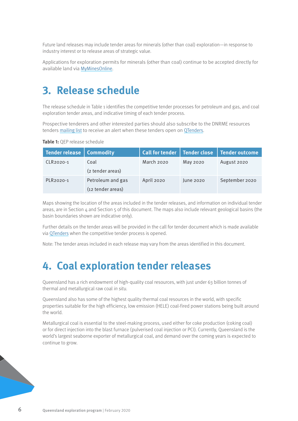<span id="page-5-0"></span>Future land releases may include tender areas for minerals (other than coal) exploration—in response to industry interest or to release areas of strategic value.

Applications for exploration permits for minerals (other than coal) continue to be accepted directly for available land via [MyMinesOnline](https://www.business.qld.gov.au/industries/mining-energy-water/resources/online-services/myminesonline).

### **3. Release schedule**

The release schedule in Table 1 identifies the competitive tender processes for petroleum and gas, and coal exploration tender areas, and indicative timing of each tender process.

Prospective tenderers and other interested parties should also subscribe to the DNRME resources tenders [mailing list](https://www.vision6.com.au/em/forms/subscribe.php?db=458558&s=135547&a=23788&k=d3c7ad4) to receive an alert when these tenders open on [QTenders.](https://qtenders.hpw.qld.gov.au/qtenders/)

| Tender release   Commodity |                                        | <b>Call for tender</b> | Tender close | Tender outcome |
|----------------------------|----------------------------------------|------------------------|--------------|----------------|
| $CI$ R <sub>2020</sub> -1  | Coal<br>(2 tender areas)               | March 2020             | May 2020     | August 2020    |
| $PI$ $R$ 2020-1            | Petroleum and gas<br>(12 tender areas) | April 2020             | June 2020    | September 2020 |

**Table 1:** QEP release schedule

Maps showing the location of the areas included in the tender releases, and information on individual tender areas, are in Section 4 and Section 5 of this document. The maps also include relevant geological basins (the basin boundaries shown are indicative only).

Further details on the tender areas will be provided in the call for tender document which is made available via [QTenders](https://qtenders.hpw.qld.gov.au/qtenders/) when the competitive tender process is opened.

Note: The tender areas included in each release may vary from the areas identified in this document.

### **4. Coal exploration tender releases**

Queensland has a rich endowment of high-quality coal resources, with just under 63 billion tonnes of thermal and metallurgical raw coal in situ.

Queensland also has some of the highest quality thermal coal resources in the world, with specific properties suitable for the high efficiency, low emission (HELE) coal-fired power stations being built around the world.

Metallurgical coal is essential to the steel-making process, used either for coke production (coking coal) or for direct injection into the blast furnace (pulverised coal injection or PCI). Currently, Queensland is the world's largest seaborne exporter of metallurgical coal, and demand over the coming years is expected to continue to grow.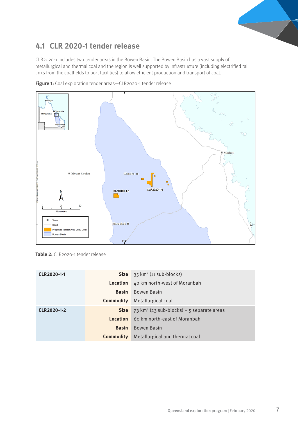

### <span id="page-6-0"></span>**4.1 CLR 2020-1 tender release**

CLR2020-1 includes two tender areas in the Bowen Basin. The Bowen Basin has a vast supply of metallurgical and thermal coal and the region is well supported by infrastructure (including electrified rail links from the coalfields to port facilities) to allow efficient production and transport of coal.





**Table 2:** CLR2020-1 tender release

| CLR2020-1-1<br><b>Size</b> |                  | $35 \text{ km}^2$ (11 sub-blocks)                    |
|----------------------------|------------------|------------------------------------------------------|
|                            | Location         | 40 km north-west of Moranbah                         |
|                            | <b>Basin</b>     | Bowen Basin                                          |
|                            | <b>Commodity</b> | Metallurgical coal                                   |
| CLR2020-1-2                | <b>Size</b>      | $73 \text{ km}^2$ (23 sub-blocks) – 5 separate areas |
|                            | <b>Location</b>  | 60 km north-east of Moranbah                         |
|                            | <b>Basin</b>     | Bowen Basin                                          |
|                            | Commodity        | Metallurgical and thermal coal                       |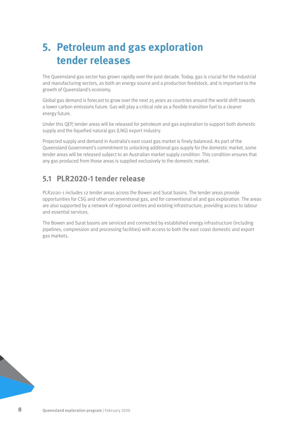### <span id="page-7-0"></span>**5. Petroleum and gas exploration tender releases**

The Queensland gas sector has grown rapidly over the past decade. Today, gas is crucial for the industrial and manufacturing sectors, as both an energy source and a production feedstock, and is important to the growth of Queensland's economy.

Global gas demand is forecast to grow over the next 25 years as countries around the world shift towards a lower carbon emissions future. Gas will play a critical role as a flexible transition fuel to a cleaner energy future.

Under this QEP, tender areas will be released for petroleum and gas exploration to support both domestic supply and the liquefied natural gas (LNG) export industry.

Projected supply and demand in Australia's east coast gas market is finely balanced. As part of the Queensland Government's commitment to unlocking additional gas supply for the domestic market, some tender areas will be released subject to an Australian market supply condition. This condition ensures that any gas produced from those areas is supplied exclusively to the domestic market.

#### **5.1 PLR2020-1 tender release**

PLR2020-1 includes 12 tender areas across the Bowen and Surat basins. The tender areas provide opportunities for CSG and other unconventional gas, and for conventional oil and gas exploration. The areas are also supported by a network of regional centres and existing infrastructure, providing access to labour and essential services.

The Bowen and Surat basins are serviced and connected by established energy infrastructure (including pipelines, compression and processing facilities) with access to both the east coast domestic and export gas markets.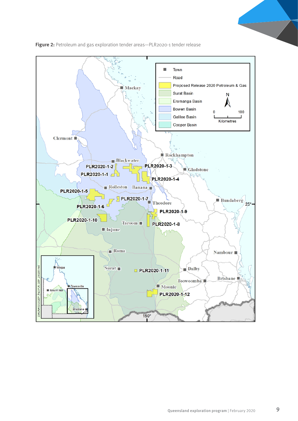

**Figure 2:** Petroleum and gas exploration tender areas—PLR2020-1 tender release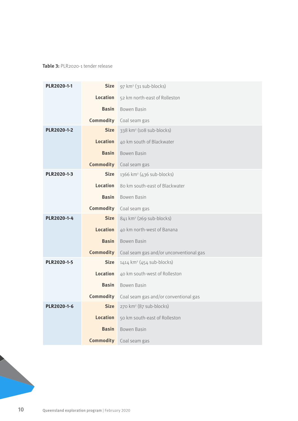#### **Table 3:** PLR2020-1 tender release

| PLR2020-1-1 | <b>Size</b>      | 97 km <sup>2</sup> (31 sub-blocks)      |  |
|-------------|------------------|-----------------------------------------|--|
|             | <b>Location</b>  | 52 km north-east of Rolleston           |  |
|             | <b>Basin</b>     | Bowen Basin                             |  |
|             | <b>Commodity</b> | Coal seam gas                           |  |
| PLR2020-1-2 | <b>Size</b>      | 338 km <sup>2</sup> (108 sub-blocks)    |  |
|             | <b>Location</b>  | 40 km south of Blackwater               |  |
|             | <b>Basin</b>     | Bowen Basin                             |  |
|             | <b>Commodity</b> | Coal seam gas                           |  |
| PLR2020-1-3 | <b>Size</b>      | 1366 km <sup>2</sup> (436 sub-blocks)   |  |
|             | <b>Location</b>  | 80 km south-east of Blackwater          |  |
|             | <b>Basin</b>     | Bowen Basin                             |  |
|             | <b>Commodity</b> | Coal seam gas                           |  |
| PLR2020-1-4 | <b>Size</b>      | 841 km <sup>2</sup> (269 sub-blocks)    |  |
|             | <b>Location</b>  | 40 km north-west of Banana              |  |
|             | <b>Basin</b>     | Bowen Basin                             |  |
|             | <b>Commodity</b> | Coal seam gas and/or unconventional gas |  |
| PLR2020-1-5 | <b>Size</b>      | 1414 km <sup>2</sup> (454 sub-blocks)   |  |
|             | <b>Location</b>  | 40 km south-west of Rolleston           |  |
|             | <b>Basin</b>     | <b>Bowen Basin</b>                      |  |
|             | <b>Commodity</b> | Coal seam gas and/or conventional gas   |  |
| PLR2020-1-6 | <b>Size</b>      | 270 km <sup>2</sup> (87 sub-blocks)     |  |
|             | <b>Location</b>  | 50 km south-east of Rolleston           |  |
|             | <b>Basin</b>     | Bowen Basin                             |  |
|             | <b>Commodity</b> | Coal seam gas                           |  |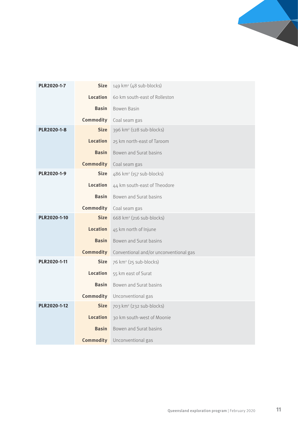

| PLR2020-1-7  | <b>Size</b>      | $149$ km <sup>2</sup> (48 sub-blocks)  |  |
|--------------|------------------|----------------------------------------|--|
|              | <b>Location</b>  | 60 km south-east of Rolleston          |  |
|              | <b>Basin</b>     | Bowen Basin                            |  |
|              | <b>Commodity</b> | Coal seam gas                          |  |
| PLR2020-1-8  | <b>Size</b>      | 396 km <sup>2</sup> (128 sub-blocks)   |  |
|              | <b>Location</b>  | 25 km north-east of Taroom             |  |
|              | <b>Basin</b>     | Bowen and Surat basins                 |  |
|              | <b>Commodity</b> | Coal seam gas                          |  |
| PLR2020-1-9  | <b>Size</b>      | 486 km <sup>2</sup> (157 sub-blocks)   |  |
|              | <b>Location</b>  | 44 km south-east of Theodore           |  |
|              | <b>Basin</b>     | Bowen and Surat basins                 |  |
|              | <b>Commodity</b> | Coal seam gas                          |  |
| PLR2020-1-10 | <b>Size</b>      | 668 km <sup>2</sup> (216 sub-blocks)   |  |
|              | <b>Location</b>  | 45 km north of Injune                  |  |
|              | <b>Basin</b>     | Bowen and Surat basins                 |  |
|              | <b>Commodity</b> | Conventional and/or unconventional gas |  |
| PLR2020-1-11 | <b>Size</b>      | 76 km <sup>2</sup> (25 sub-blocks)     |  |
|              | Location         | 55 km east of Surat                    |  |
|              | <b>Basin</b>     | Bowen and Surat basins                 |  |
|              | <b>Commodity</b> | Unconventional gas                     |  |
| PLR2020-1-12 | <b>Size</b>      | 703 km <sup>2</sup> (232 sub-blocks)   |  |
|              | <b>Location</b>  | 30 km south-west of Moonie             |  |
|              | <b>Basin</b>     | Bowen and Surat basins                 |  |
|              | <b>Commodity</b> | Unconventional gas                     |  |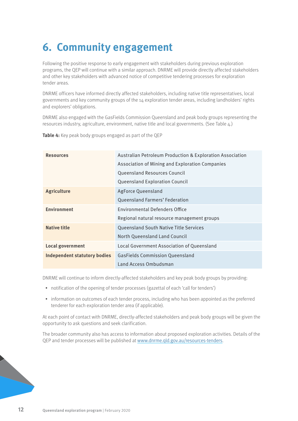## <span id="page-11-0"></span>**6. Community engagement**

Following the positive response to early engagement with stakeholders during previous exploration programs, the QEP will continue with a similar approach. DNRME will provide directly affected stakeholders and other key stakeholders with advanced notice of competitive tendering processes for exploration tender areas.

DNRME officers have informed directly affected stakeholders, including native title representatives, local governments and key community groups of the 14 exploration tender areas, including landholders' rights and explorers' obligations.

DNRME also engaged with the GasFields Commission Queensland and peak body groups representing the resources industry, agriculture, environment, native title and local governments. (See Table 4.)

| <b>Resources</b>                    | <b>Australian Petroleum Production &amp; Exploration Association</b> |
|-------------------------------------|----------------------------------------------------------------------|
|                                     | Association of Mining and Exploration Companies                      |
|                                     | <b>Oueensland Resources Council</b>                                  |
|                                     | Queensland Exploration Council                                       |
| <b>Agriculture</b>                  | AgForce Queensland                                                   |
|                                     | Queensland Farmers' Federation                                       |
| <b>Environment</b>                  | Environmental Defenders Office                                       |
|                                     | Regional natural resource management groups                          |
| <b>Native title</b>                 | Queensland South Native Title Services                               |
|                                     | North Queensland Land Council                                        |
| <b>Local government</b>             | Local Government Association of Queensland                           |
| <b>Independent statutory bodies</b> | <b>GasFields Commission Queensland</b>                               |
|                                     | Land Access Ombudsman                                                |

**Table 4:** Key peak body groups engaged as part of the QEP

DNRME will continue to inform directly-affected stakeholders and key peak body groups by providing:

- notification of the opening of tender processes (gazettal of each 'call for tenders')
- information on outcomes of each tender process, including who has been appointed as the preferred tenderer for each exploration tender area (if applicable).

At each point of contact with DNRME, directly-affected stakeholders and peak body groups will be given the opportunity to ask questions and seek clarification.

The broader community also has access to information about proposed exploration activities. Details of the QEP and tender processes will be published at [www.dnrme.qld.gov.au/resources-tenders](http://www.dnrme.qld.gov.au/resources-tenders).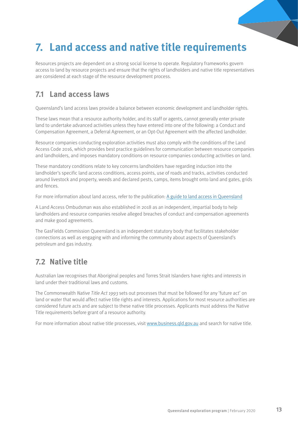## <span id="page-12-0"></span>**7. Land access and native title requirements**

Resources projects are dependent on a strong social license to operate. Regulatory frameworks govern access to land by resource projects and ensure that the rights of landholders and native title representatives are considered at each stage of the resource development process.

#### **7.1 Land access laws**

Queensland's land access laws provide a balance between economic development and landholder rights.

These laws mean that a resource authority holder, and its staff or agents, cannot generally enter private land to undertake advanced activities unless they have entered into one of the following: a Conduct and Compensation Agreement, a Deferral Agreement, or an Opt-Out Agreement with the affected landholder.

Resource companies conducting exploration activities must also comply with the conditions of the Land Access Code 2016, which provides best practice guidelines for communication between resource companies and landholders, and imposes mandatory conditions on resource companies conducting activities on land.

These mandatory conditions relate to key concerns landholders have regarding induction into the landholder's specific land access conditions, access points, use of roads and tracks, activities conducted around livestock and property, weeds and declared pests, camps, items brought onto land and gates, grids and fences.

For more information about land access, refer to the publication: [A guide to land access in Queensland](https://www.dnrme.qld.gov.au/__data/assets/pdf_file/0018/1442223/guide-to-land-access-in-queensland-2019.pdf)

A Land Access Ombudsman was also established in 2018 as an independent, impartial body to help landholders and resource companies resolve alleged breaches of conduct and compensation agreements and make good agreements.

The GasFields Commission Queensland is an independent statutory body that facilitates stakeholder connections as well as engaging with and informing the community about aspects of Queensland's petroleum and gas industry.

### **7.2 Native title**

Australian law recognises that Aboriginal peoples and Torres Strait Islanders have rights and interests in land under their traditional laws and customs.

The Commonwealth Native Title Act 1993 sets out processes that must be followed for any 'future act' on land or water that would affect native title rights and interests. Applications for most resource authorities are considered future acts and are subject to these native title processes. Applicants must address the Native Title requirements before grant of a resource authority.

For more information about native title processes, visit [www.business.qld.gov.au](http://www.business.qld.gov.au/industries/mining-energy-water/resources/minerals-coal/authorities-permits/applying/native-title) and search for native title.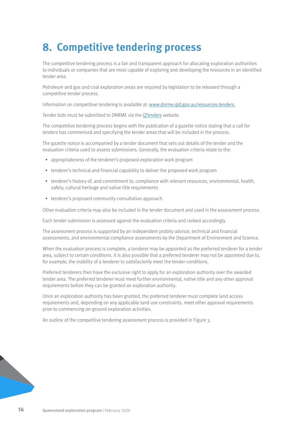### <span id="page-13-0"></span>**8. Competitive tendering process**

The competitive tendering process is a fair and transparent approach for allocating exploration authorities to individuals or companies that are most capable of exploring and developing the resources in an identified tender area.

Petroleum and gas and coal exploration areas are required by legislation to be released through a competitive tender process.

Information on competitive tendering is available at: [www.dnrme.qld.gov.au/resources-tenders](http://www.dnrme.qld.gov.au/resources-tenders).

Tender bids must be submitted to DNRME via the [QTenders](https://qtenders.hpw.qld.gov.au/qtenders/) website.

The competitive tendering process begins with the publication of a gazette notice stating that a call for tenders has commenced and specifying the tender areas that will be included in the process.

The gazette notice is accompanied by a tender document that sets out details of the tender and the evaluation criteria used to assess submissions. Generally, the evaluation criteria relate to the:

- appropriateness of the tenderer's proposed exploration work program
- tenderer's technical and financial capability to deliver the proposed work program
- tenderer's history of, and commitment to, compliance with relevant resources, environmental, health, safety, cultural heritage and native title requirements
- tenderer's proposed community consultation approach.

Other evaluation criteria may also be included in the tender document and used in the assessment process.

Each tender submission is assessed against the evaluation criteria and ranked accordingly.

The assessment process is supported by an independent probity advisor, technical and financial assessments, and environmental compliance assessments by the Department of Environment and Science.

When the evaluation process is complete, a tenderer may be appointed as the preferred tenderer for a tender area, subject to certain conditions. It is also possible that a preferred tenderer may not be appointed due to, for example, the inability of a tenderer to satisfactorily meet the tender conditions.

Preferred tenderers then have the exclusive right to apply for an exploration authority over the awarded tender area. The preferred tenderer must meet further environmental, native title and any other approval requirements before they can be granted an exploration authority.

Once an exploration authority has been granted, the preferred tenderer must complete land access requirements and, depending on any applicable land use constraints, meet other approval requirements prior to commencing on-ground exploration activities.

An outline of the competitive tendering assessment process is provided in Figure 3.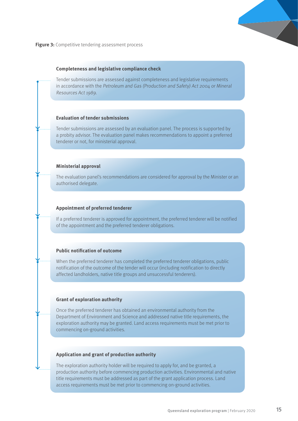

**Figure 3:** Competitive tendering assessment process

#### **Completeness and legislative compliance check**

Tender submissions are assessed against completeness and legislative requirements in accordance with the Petroleum and Gas (Production and Safety) Act 2004 or Mineral Resources Act 1989.

#### **Evaluation of tender submissions**

Tender submissions are assessed by an evaluation panel. The process is supported by a probity advisor. The evaluation panel makes recommendations to appoint a preferred tenderer or not, for ministerial approval.

#### **Ministerial approval**

The evaluation panel's recommendations are considered for approval by the Minister or an authorised delegate.

#### **Appointment of preferred tenderer**

If a preferred tenderer is approved for appointment, the preferred tenderer will be notified of the appointment and the preferred tenderer obligations.

#### **Public notification of outcome**

When the preferred tenderer has completed the preferred tenderer obligations, public notification of the outcome of the tender will occur (including notification to directly affected landholders, native title groups and unsuccessful tenderers).

#### **Grant of exploration authority**

Once the preferred tenderer has obtained an environmental authority from the Department of Environment and Science and addressed native title requirements, the exploration authority may be granted. Land access requirements must be met prior to commencing on-ground activities.

#### **Application and grant of production authority**

The exploration authority holder will be required to apply for, and be granted, a production authority before commencing production activities. Environmental and native title requirements must be addressed as part of the grant application process. Land access requirements must be met prior to commencing on-ground activities.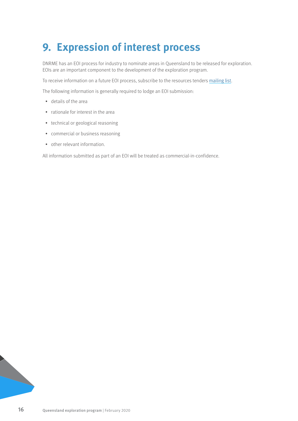### <span id="page-15-0"></span>**9. Expression of interest process**

DNRME has an EOI process for industry to nominate areas in Queensland to be released for exploration. EOIs are an important component to the development of the exploration program.

To receive information on a future EOI process, subscribe to the resources tenders [mailing list](https://www.vision6.com.au/em/forms/subscribe.php?db=458558&s=135547&a=23788&k=d3c7ad4).

The following information is generally required to lodge an EOI submission:

- details of the area
- rationale for interest in the area
- technical or geological reasoning
- commercial or business reasoning
- other relevant information.

All information submitted as part of an EOI will be treated as commercial-in-confidence.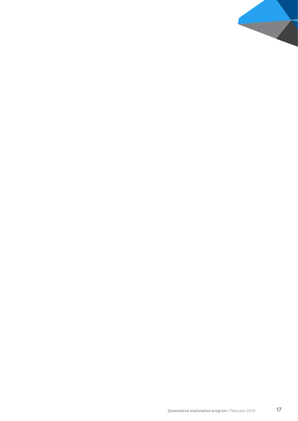